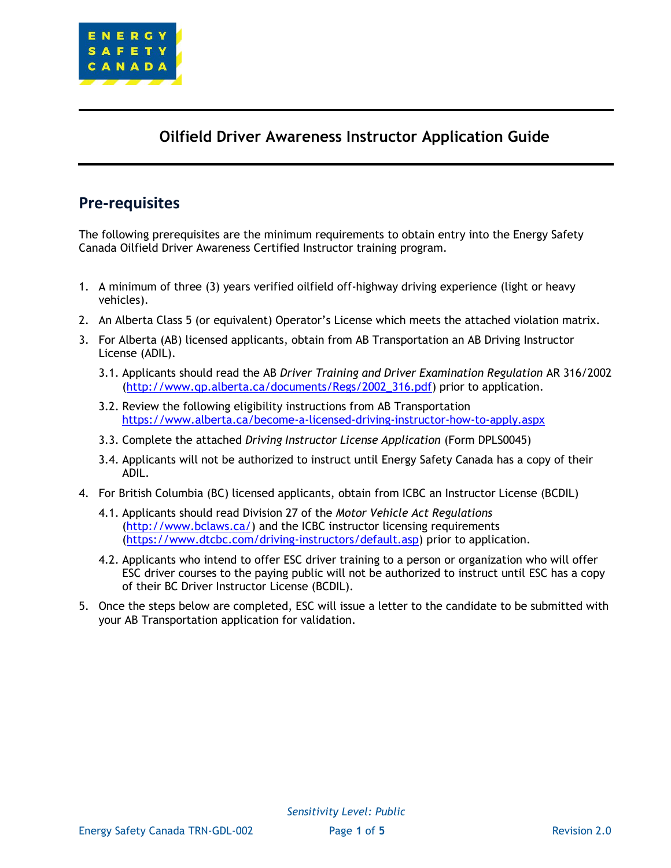

# **Oilfield Driver Awareness Instructor Application Guide**

# **Pre-requisites**

The following prerequisites are the minimum requirements to obtain entry into the Energy Safety Canada Oilfield Driver Awareness Certified Instructor training program.

- 1. A minimum of three (3) years verified oilfield off-highway driving experience (light or heavy vehicles).
- 2. An Alberta Class 5 (or equivalent) Operator's License which meets the attached violation matrix.
- 3. For Alberta (AB) licensed applicants, obtain from AB Transportation an AB Driving Instructor License (ADIL).
	- 3.1. Applicants should read the AB *Driver Training and Driver Examination Regulation* AR 316/2002 [\(http://www.qp.alberta.ca/documents/Regs/2002\\_316.pdf\)](http://www.qp.alberta.ca/documents/Regs/2002_316.pdf) prior to application.
	- 3.2. Review the following eligibility instructions from AB Transportation <https://www.alberta.ca/become-a-licensed-driving-instructor-how-to-apply.aspx>
	- 3.3. Complete the attached *Driving Instructor License Application* (Form DPLS0045)
	- 3.4. Applicants will not be authorized to instruct until Energy Safety Canada has a copy of their ADIL.
- 4. For British Columbia (BC) licensed applicants, obtain from ICBC an Instructor License (BCDIL)
	- 4.1. Applicants should read Division 27 of the *Motor Vehicle Act Regulations*  [\(http://www.bclaws.ca/\)](http://www.bclaws.ca/) and the ICBC instructor licensing requirements [\(https://www.dtcbc.com/driving-instructors/default.asp\)](https://www.dtcbc.com/driving-instructors/default.asp) prior to application.
	- 4.2. Applicants who intend to offer ESC driver training to a person or organization who will offer ESC driver courses to the paying public will not be authorized to instruct until ESC has a copy of their BC Driver Instructor License (BCDIL).
- 5. Once the steps below are completed, ESC will issue a letter to the candidate to be submitted with your AB Transportation application for validation.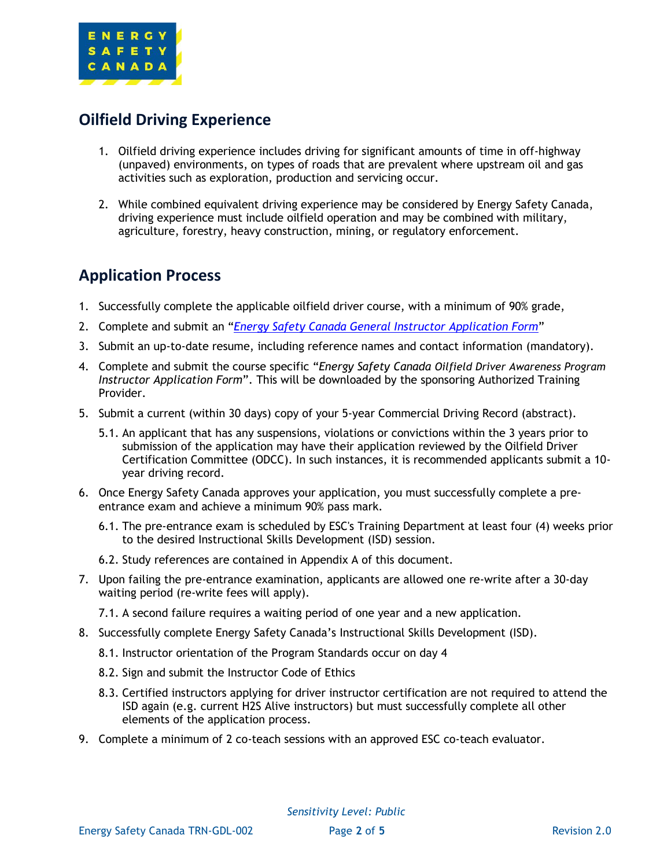

# **Oilfield Driving Experience**

- 1. Oilfield driving experience includes driving for significant amounts of time in off-highway (unpaved) environments, on types of roads that are prevalent where upstream oil and gas activities such as exploration, production and servicing occur.
- 2. While combined equivalent driving experience may be considered by Energy Safety Canada, driving experience must include oilfield operation and may be combined with military, agriculture, forestry, heavy construction, mining, or regulatory enforcement.

# **Application Process**

- 1. Successfully complete the applicable oilfield driver course, with a minimum of 90% grade,
- 2. Complete and submit an "*[Energy Safety Canada General Instructor](http://www.energysafetycanada.com/training/instructorsproviders/certified-instructors.cfm) Application Form*"
- 3. Submit an up-to-date resume, including reference names and contact information (mandatory).
- 4. Complete and submit the course specific "*Energy Safety Canada Oilfield Driver Awareness Program Instructor Application Form*". This will be downloaded by the sponsoring Authorized Training Provider.
- 5. Submit a current (within 30 days) copy of your 5-year Commercial Driving Record (abstract).
	- 5.1. An applicant that has any suspensions, violations or convictions within the 3 years prior to submission of the application may have their application reviewed by the Oilfield Driver Certification Committee (ODCC). In such instances, it is recommended applicants submit a 10 year driving record.
- 6. Once Energy Safety Canada approves your application, you must successfully complete a preentrance exam and achieve a minimum 90% pass mark.
	- 6.1. The pre-entrance exam is scheduled by ESC's Training Department at least four (4) weeks prior to the desired Instructional Skills Development (ISD) session.
	- 6.2. Study references are contained in Appendix A of this document.
- 7. Upon failing the pre-entrance examination, applicants are allowed one re-write after a 30-day waiting period (re-write fees will apply).
	- 7.1. A second failure requires a waiting period of one year and a new application.
- 8. Successfully complete Energy Safety Canada's Instructional Skills Development (ISD).
	- 8.1. Instructor orientation of the Program Standards occur on day 4
	- 8.2. Sign and submit the Instructor Code of Ethics
	- 8.3. Certified instructors applying for driver instructor certification are not required to attend the ISD again (e.g. current H2S Alive instructors) but must successfully complete all other elements of the application process.
- 9. Complete a minimum of 2 co-teach sessions with an approved ESC co-teach evaluator.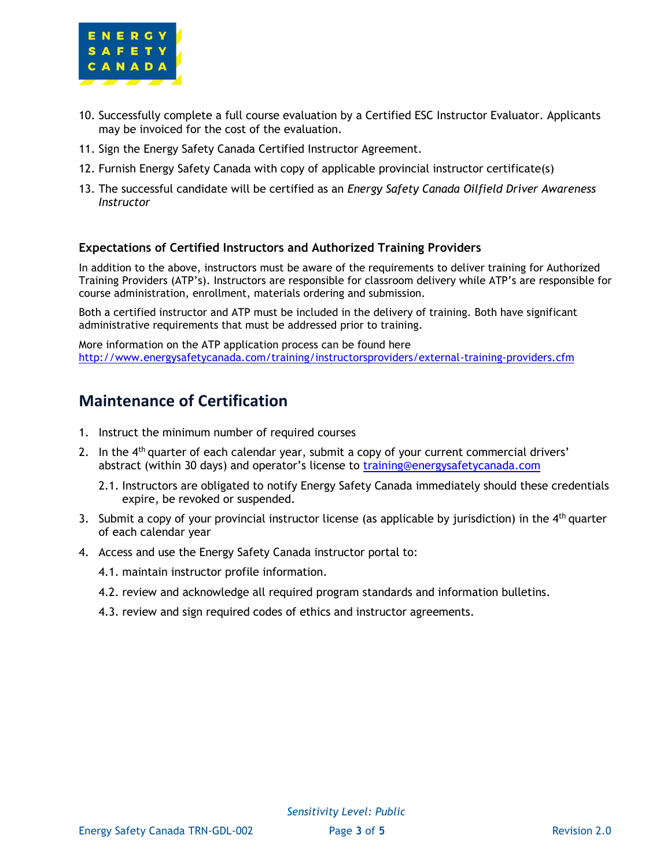

- 10. Successfully complete a full course evaluation by a Certified ESC Instructor Evaluator. Applicants may be invoiced for the cost of the evaluation.
- 11. Sign the Energy Safety Canada Certified Instructor Agreement.
- 12. Furnish Energy Safety Canada with copy of applicable provincial instructor certificate(s)
- 13. The successful candidate will be certified as an *Energy Safety Canada Oilfield Driver Awareness Instructor*

### **Expectations of Certified Instructors and Authorized Training Providers**

In addition to the above, instructors must be aware of the requirements to deliver training for Authorized Training Providers (ATP's). Instructors are responsible for classroom delivery while ATP's are responsible for course administration, enrollment, materials ordering and submission.

Both a certified instructor and ATP must be included in the delivery of training. Both have significant administrative requirements that must be addressed prior to training.

More information on the ATP application process can be found here <http://www.energysafetycanada.com/training/instructorsproviders/external-training-providers.cfm>

### **Maintenance of Certification**

- 1. Instruct the minimum number of required courses
- 2. In the  $4<sup>th</sup>$  quarter of each calendar year, submit a copy of your current commercial drivers' abstract (within 30 days) and operator's license to [training@energysafetycanada.com](mailto:training@energysafetycanada.com)
	- 2.1. Instructors are obligated to notify Energy Safety Canada immediately should these credentials expire, be revoked or suspended.
- 3. Submit a copy of your provincial instructor license (as applicable by jurisdiction) in the  $4<sup>th</sup>$  quarter of each calendar year
- 4. Access and use the Energy Safety Canada instructor portal to:
	- 4.1. maintain instructor profile information.
	- 4.2. review and acknowledge all required program standards and information bulletins.
	- 4.3. review and sign required codes of ethics and instructor agreements.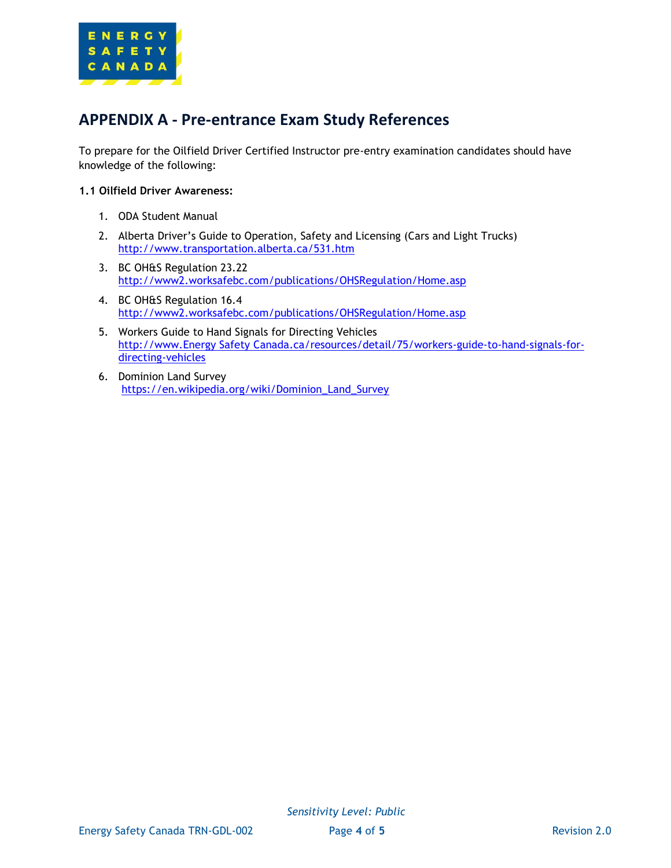

# **APPENDIX A - Pre-entrance Exam Study References**

To prepare for the Oilfield Driver Certified Instructor pre-entry examination candidates should have knowledge of the following:

#### **1.1 Oilfield Driver Awareness:**

- 1. ODA Student Manual
- 2. Alberta Driver's Guide to Operation, Safety and Licensing (Cars and Light Trucks) <http://www.transportation.alberta.ca/531.htm>
- 3. BC OH&S Regulation 23.22 <http://www2.worksafebc.com/publications/OHSRegulation/Home.asp>
- 4. BC OH&S Regulation 16.4 <http://www2.worksafebc.com/publications/OHSRegulation/Home.asp>
- 5. Workers Guide to Hand Signals for Directing Vehicles [http://www.Energy Safety Canada.ca/resources/detail/75/workers-guide-to-hand-signals-for](http://www.enform.ca/resources/detail/75/workers-guide-to-hand-signals-for-directing-vehicles)[directing-vehicles](http://www.enform.ca/resources/detail/75/workers-guide-to-hand-signals-for-directing-vehicles)
- 6. Dominion Land Survey [https://en.wikipedia.org/wiki/Dominion\\_Land\\_Survey](https://en.wikipedia.org/wiki/Dominion_Land_Survey)